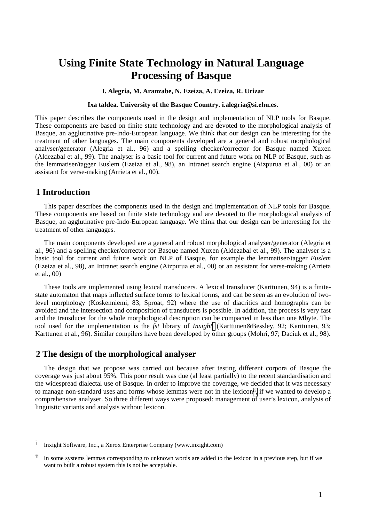# **Using Finite State Technology in Natural Language Processing of Basque**

**I. Alegria, M. Aranzabe, N. Ezeiza, A. Ezeiza, R. Urizar** 

#### **Ixa taldea. University of the Basque Country. i.alegria@si.ehu.es.**

This paper describes the components used in the design and implementation of NLP tools for Basque. These components are based on finite state technology and are devoted to the morphological analysis of Basque, an agglutinative pre-Indo-European language. We think that our design can be interesting for the treatment of other languages. The main components developed are a general and robust morphological analyser/generator (Alegria et al., 96) and a spelling checker/corrector for Basque named Xuxen (Aldezabal et al., 99). The analyser is a basic tool for current and future work on NLP of Basque, such as the lemmatiser/tagger Euslem (Ezeiza et al., 98), an Intranet search engine (Aizpurua et al., 00) or an assistant for verse-making (Arrieta et al., 00).

## **1 Introduction**

l

This paper describes the components used in the design and implementation of NLP tools for Basque. These components are based on finite state technology and are devoted to the morphological analysis of Basque, an agglutinative pre-Indo-European language. We think that our design can be interesting for the treatment of other languages.

The main components developed are a general and robust morphological analyser/generator (Alegria et al., 96) and a spelling checker/corrector for Basque named Xuxen (Aldezabal et al., 99). The analyser is a basic tool for current and future work on NLP of Basque, for example the lemmatiser/tagger *Euslem* (Ezeiza et al., 98), an Intranet search engine (Aizpurua et al., 00) or an assistant for verse-making (Arrieta et al., 00)

These tools are implemented using lexical transducers. A lexical transducer (Karttunen, 94) is a finitestate automaton that maps inflected surface forms to lexical forms, and can be seen as an evolution of twolevel morphology (Koskenniemi, 83; Sproat, 92) where the use of diacritics and homographs can be avoided and the intersection and composition of transducers is possible. In addition, the process is very fast and the transducer for the whole morphological description can be compacted in less than one Mbyte. The tool used for the implementation is the *fst* library of *Inxight*<sup>i</sup> (Karttunen&Bessley, 92; Karttunen, 93; Karttunen et al., 96). Similar compilers have been developed by other groups (Mohri, 97; Daciuk et al., 98).

## **2 The design of the morphological analyser**

The design that we propose was carried out because after testing different corpora of Basque the coverage was just about 95%. This poor result was due (al least partially) to the recent standardisation and the widespread dialectal use of Basque. In order to improve the coverage, we decided that it was necessary to manage non-standard uses and forms whose lemmas were not in the lexiconii, if we wanted to develop a comprehensive analyser. So three different ways were proposed: management of user's lexicon, analysis of linguistic variants and analysis without lexicon.

i Inxight Software, Inc., a Xerox Enterprise Company (www.inxight.com)

ii In some systems lemmas corresponding to unknown words are added to the lexicon in a previous step, but if we want to built a robust system this is not be acceptable.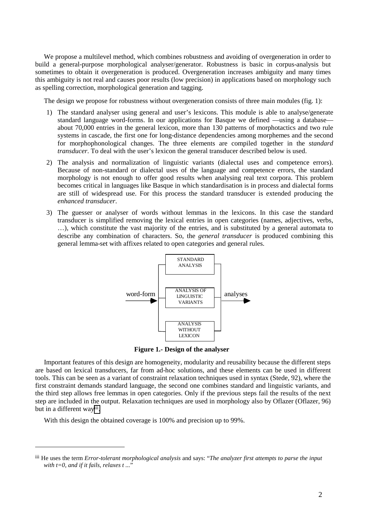We propose a multilevel method, which combines robustness and avoiding of overgeneration in order to build a general-purpose morphological analyser/generator. Robustness is basic in corpus-analysis but sometimes to obtain it overgeneration is produced. Overgeneration increases ambiguity and many times this ambiguity is not real and causes poor results (low precision) in applications based on morphology such as spelling correction, morphological generation and tagging.

The design we propose for robustness without overgeneration consists of three main modules (fig. 1):

- 1) The standard analyser using general and user's lexicons. This module is able to analyse/generate standard language word-forms. In our applications for Basque we defined —using a database about 70,000 entries in the general lexicon, more than 130 patterns of morphotactics and two rule systems in cascade, the first one for long-distance dependencies among morphemes and the second for morphophonological changes. The three elements are compiled together in the *standard transducer*. To deal with the user's lexicon the general transducer described below is used.
- 2) The analysis and normalization of linguistic variants (dialectal uses and competence errors). Because of non-standard or dialectal uses of the language and competence errors, the standard morphology is not enough to offer good results when analysing real text corpora. This problem becomes critical in languages like Basque in which standardisation is in process and dialectal forms are still of widespread use. For this process the standard transducer is extended producing the *enhanced transducer*.
- 3) The guesser or analyser of words without lemmas in the lexicons. In this case the standard transducer is simplified removing the lexical entries in open categories (names, adjectives, verbs, …), which constitute the vast majority of the entries, and is substituted by a general automata to describe any combination of characters. So, the *general transducer* is produced combining this general lemma-set with affixes related to open categories and general rules.



**Figure 1.- Design of the analyser** 

Important features of this design are homogeneity, modularity and reusability because the different steps are based on lexical transducers, far from ad-hoc solutions, and these elements can be used in different tools. This can be seen as a variant of constraint relaxation techniques used in syntax (Stede, 92), where the first constraint demands standard language, the second one combines standard and linguistic variants, and the third step allows free lemmas in open categories. Only if the previous steps fail the results of the next step are included in the output. Relaxation techniques are used in morphology also by Oflazer (Oflazer, 96) but in a different way<sup>iii</sup>.

With this design the obtained coverage is 100% and precision up to 99%.

l

iii He uses the term *Error-tolerant morphological analysis* and says: "*The analyzer first attempts to parse the input with t=0, and if it fails, relaxes t...*"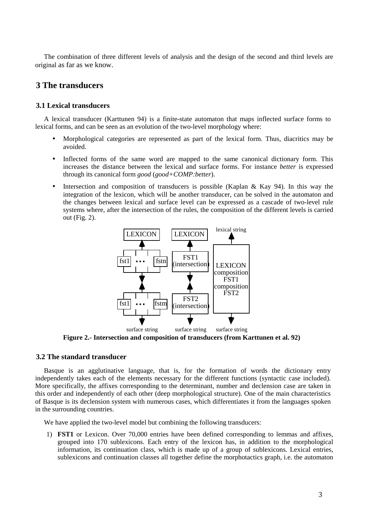The combination of three different levels of analysis and the design of the second and third levels are original as far as we know.

# **3 The transducers**

# **3.1 Lexical transducers**

A lexical transducer (Karttunen 94) is a finite-state automaton that maps inflected surface forms to lexical forms, and can be seen as an evolution of the two-level morphology where:

- Morphological categories are represented as part of the lexical form. Thus, diacritics may be avoided.
- Inflected forms of the same word are mapped to the same canonical dictionary form. This increases the distance between the lexical and surface forms. For instance *better* is expressed through its canonical form *good* (*good+COMP:better*).
- Intersection and composition of transducers is possible (Kaplan & Kay 94). In this way the integration of the lexicon, which will be another transducer, can be solved in the automaton and the changes between lexical and surface level can be expressed as a cascade of two-level rule systems where, after the intersection of the rules, the composition of the different levels is carried out (Fig. 2).



**Figure 2.- Intersection and composition of transducers (from Karttunen et al. 92)** 

#### **3.2 The standard transducer**

Basque is an agglutinative language, that is, for the formation of words the dictionary entry independently takes each of the elements necessary for the different functions (syntactic case included). More specifically, the affixes corresponding to the determinant, number and declension case are taken in this order and independently of each other (deep morphological structure). One of the main characteristics of Basque is its declension system with numerous cases, which differentiates it from the languages spoken in the surrounding countries.

We have applied the two-level model but combining the following transducers:

1) **FST1** or Lexicon. Over 70,000 entries have been defined corresponding to lemmas and affixes, grouped into 170 sublexicons. Each entry of the lexicon has, in addition to the morphological information, its continuation class, which is made up of a group of sublexicons. Lexical entries, sublexicons and continuation classes all together define the morphotactics graph, i.e. the automaton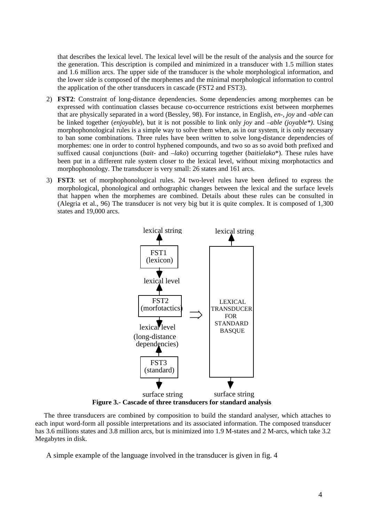that describes the lexical level. The lexical level will be the result of the analysis and the source for the generation. This description is compiled and minimized in a transducer with 1.5 million states and 1.6 million arcs. The upper side of the transducer is the whole morphological information, and the lower side is composed of the morphemes and the minimal morphological information to control the application of the other transducers in cascade (FST2 and FST3).

- 2) **FST2**: Constraint of long-distance dependencies. Some dependencies among morphemes can be expressed with continuation classes because co-occurrence restrictions exist between morphemes that are physically separated in a word (Bessley, 98). For instance, in English, *en-*, *joy* and -*able* can be linked together (*enjoyable*), but it is not possible to link only *joy* and –*able (joyable\*)*. Using morphophonological rules is a simple way to solve them when, as in our system, it is only necessary to ban some combinations. Three rules have been written to solve long-distance dependencies of morphemes: one in order to control hyphened compounds, and two so as so avoid both prefixed and suffixed causal conjunctions (*bait*- and –*lako*) occurring together (*baitielako*\*). These rules have been put in a different rule system closer to the lexical level, without mixing morphotactics and morphophonology. The transducer is very small: 26 states and 161 arcs.
- 3) **FST3**: set of morphophonological rules. 24 two-level rules have been defined to express the morphological, phonological and orthographic changes between the lexical and the surface levels that happen when the morphemes are combined. Details about these rules can be consulted in (Alegria et al., 96) The transducer is not very big but it is quite complex. It is composed of 1,300 states and 19,000 arcs.



The three transducers are combined by composition to build the standard analyser, which attaches to each input word-form all possible interpretations and its associated information. The composed transducer has 3.6 millions states and 3.8 million arcs, but is minimized into 1.9 M-states and 2 M-arcs, which take 3.2 Megabytes in disk.

A simple example of the language involved in the transducer is given in fig. 4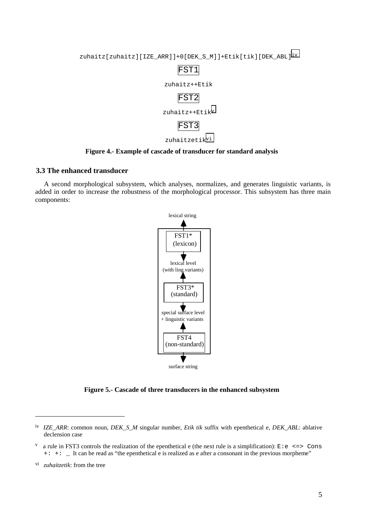zuhaitz[zuhaitz][IZE\_ARR]]+0[DEK\_S\_M]]+Etik[tik][DEK\_ABL]iv



#### **Figure 4.- Example of cascade of transducer for standard analysis**

### **3.3 The enhanced transducer**

A second morphological subsystem, which analyses, normalizes, and generates linguistic variants, is added in order to increase the robustness of the morphological processor. This subsystem has three main components:



**Figure 5.- Cascade of three transducers in the enhanced subsystem** 

l

iv*IZE\_ARR*: common noun, *DEK\_S\_M* singular number, *Etik tik* suffix with epenthetical e, *DEK\_ABL*: ablative declension case

<sup>&</sup>lt;sup>v</sup> a rule in FST3 controls the realization of the epenthetical e (the next rule is a simplification):  $E: e \le 0$  Cons +: +: \_ It can be read as "the epenthetical e is realized as e after a consonant in the previous morpheme"

vi *zuhaitzetik*: from the tree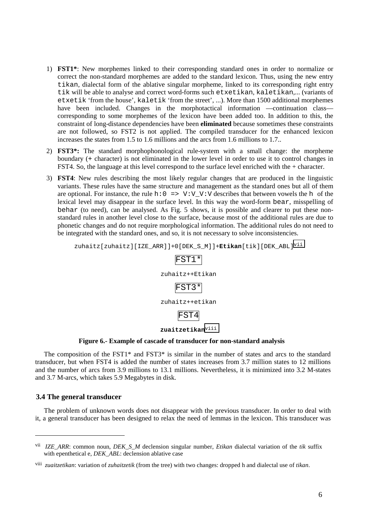- 1) **FST1\***: New morphemes linked to their corresponding standard ones in order to normalize or correct the non-standard morphemes are added to the standard lexicon. Thus, using the new entry tikan, dialectal form of the ablative singular morpheme, linked to its corresponding right entry tik will be able to analyse and correct word-forms such etxetikan, kaletikan,... (variants of etxetik 'from the house', kaletik 'from the street', ...). More than 1500 additional morphemes have been included. Changes in the morphotactical information —continuation class corresponding to some morphemes of the lexicon have been added too. In addition to this, the constraint of long-distance dependencies have been **eliminated** because sometimes these constraints are not followed, so FST2 is not applied. The compiled transducer for the enhanced lexicon increases the states from 1.5 to 1.6 millions and the arcs from 1.6 millions to 1.7..
- 2) **FST3\*:** The standard morphophonological rule-system with a small change: the morpheme boundary (+ character) is not eliminated in the lower level in order to use it to control changes in FST4. So, the language at this level correspond to the surface level enriched with the + character.
- 3) **FST4**: New rules describing the most likely regular changes that are produced in the linguistic variants. These rules have the same structure and management as the standard ones but all of them are optional. For instance, the rule h:  $0 \implies V:V:V$  describes that between vowels the h of the lexical level may disappear in the surface level. In this way the word-form bear, misspelling of behar (to need), can be analysed. As Fig. 5 shows, it is possible and clearer to put these nonstandard rules in another level close to the surface, because most of the additional rules are due to phonetic changes and do not require morphological information. The additional rules do not need to be integrated with the standard ones, and so, it is not necessary to solve inconsistencies.

```
zuhaitz[zuhaitz][IZE_ARR]]+0[DEK_S_M]]+Etikan[tik][DEK_ABL]vii
                FST1* 
            zuhaitz++Etikan 
                FST3* 
            zuhaitz++etikan 
                 FST4 
            zuaitzetikanviii
```
### **Figure 6.- Example of cascade of transducer for non-standard analysis**

The composition of the FST1\* and FST3\* is similar in the number of states and arcs to the standard transducer, but when FST4 is added the number of states increases from 3.7 million states to 12 millions and the number of arcs from 3.9 millions to 13.1 millions. Nevertheless, it is minimized into 3.2 M-states and 3.7 M-arcs, which takes 5.9 Megabytes in disk.

#### **3.4 The general transducer**

l

The problem of unknown words does not disappear with the previous transducer. In order to deal with it, a general transducer has been designed to relax the need of lemmas in the lexicon. This transducer was

vii*IZE\_ARR*: common noun, *DEK\_S\_M* declension singular number, *Etikan* dialectal variation of the *tik* suffix with epenthetical e, *DEK\_ABL*: declension ablative case

viii *zuaitzetikan*: variation of *zuhaitzetik* (from the tree) with two changes: dropped h and dialectal use of *tikan*.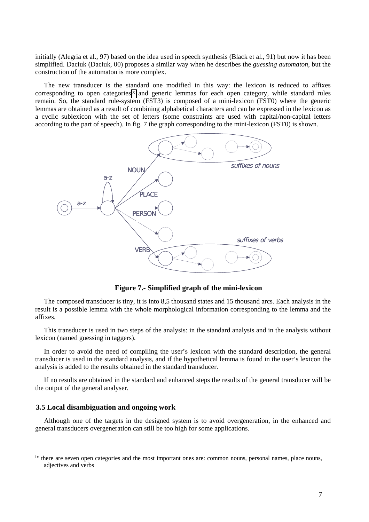initially (Alegria et al., 97) based on the idea used in speech synthesis (Black et al., 91) but now it has been simplified. Daciuk (Daciuk, 00) proposes a similar way when he describes the *guessing automaton*, but the construction of the automaton is more complex.

The new transducer is the standard one modified in this way: the lexicon is reduced to affixes corresponding to open categories<sup>ix</sup> and generic lemmas for each open category, while standard rules remain. So, the standard rule-system (FST3) is composed of a mini-lexicon (FST0) where the generic lemmas are obtained as a result of combining alphabetical characters and can be expressed in the lexicon as a cyclic sublexicon with the set of letters (some constraints are used with capital/non-capital letters according to the part of speech). In fig. 7 the graph corresponding to the mini-lexicon (FST0) is shown.



**Figure 7.- Simplified graph of the mini-lexicon**

The composed transducer is tiny, it is into 8,5 thousand states and 15 thousand arcs. Each analysis in the result is a possible lemma with the whole morphological information corresponding to the lemma and the affixes.

This transducer is used in two steps of the analysis: in the standard analysis and in the analysis without lexicon (named guessing in taggers).

In order to avoid the need of compiling the user's lexicon with the standard description, the general transducer is used in the standard analysis, and if the hypothetical lemma is found in the user's lexicon the analysis is added to the results obtained in the standard transducer.

If no results are obtained in the standard and enhanced steps the results of the general transducer will be the output of the general analyser.

### **3.5 Local disambiguation and ongoing work**

l

Although one of the targets in the designed system is to avoid overgeneration, in the enhanced and general transducers overgeneration can still be too high for some applications.

ix there are seven open categories and the most important ones are: common nouns, personal names, place nouns, adjectives and verbs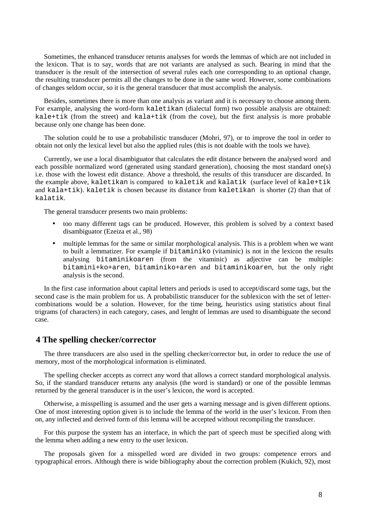Sometimes, the enhanced transducer returns analyses for words the lemmas of which are not included in the lexicon. That is to say, words that are not variants are analysed as such. Bearing in mind that the transducer is the result of the intersection of several rules each one corresponding to an optional change, the resulting transducer permits all the changes to be done in the same word. However, some combinations of changes seldom occur, so it is the general transducer that must accomplish the analysis.

Besides, sometimes there is more than one analysis as variant and it is necessary to choose among them. For example, analysing the word-form kaletikan (dialectal form) two possible analysis are obtained: kale+tik (from the street) and kala+tik (from the cove), but the first analysis is more probable because only one change has been done.

The solution could be to use a probabilistic transducer (Mohri, 97), or to improve the tool in order to obtain not only the lexical level but also the applied rules (this is not doable with the tools we have).

Currently, we use a local disambiguator that calculates the edit distance between the analysed word and each possible normalized word (generated using standard generation), choosing the most standard one(s) i.e. those with the lowest edit distance. Above a threshold, the results of this transducer are discarded. In the example above, kaletikan is compared to kaletik and kalatik (surface level of kale+tik and kala+tik). kaletik is chosen because its distance from kaletikan is shorter (2) than that of kalatik.

The general transducer presents two main problems:

- too many different tags can be produced. However, this problem is solved by a context based disambiguator (Ezeiza et al., 98)
- multiple lemmas for the same or similar morphological analysis. This is a problem when we want to built a lemmatizer. For example if bitaminiko (vitaminic) is not in the lexicon the results analysing bitaminikoaren (from the vitaminic) as adjective can be multiple: bitamini+ko+aren, bitaminiko+aren and bitaminikoaren, but the only right analysis is the second.

In the first case information about capital letters and periods is used to accept/discard some tags, but the second case is the main problem for us. A probabilistic transducer for the sublexicon with the set of lettercombinations would be a solution. However, for the time being, heuristics using statistics about final trigrams (of characters) in each category, cases, and lenght of lemmas are used to disambiguate the second case.

# **4 The spelling checker/corrector**

The three transducers are also used in the spelling checker/corrector but, in order to reduce the use of memory, most of the morphological information is eliminated.

The spelling checker accepts as correct any word that allows a correct standard morphological analysis. So, if the standard transducer returns any analysis (the word is standard) or one of the possible lemmas returned by the general transducer is in the user's lexicon, the word is accepted.

Otherwise, a misspelling is assumed and the user gets a warning message and is given different options. One of most interesting option given is to include the lemma of the world in the user's lexicon. From then on, any inflected and derived form of this lemma will be accepted without recompiling the transducer.

For this purpose the system has an interface, in which the part of speech must be specified along with the lemma when adding a new entry to the user lexicon.

The proposals given for a misspelled word are divided in two groups: competence errors and typographical errors. Although there is wide bibliography about the correction problem (Kukich, 92), most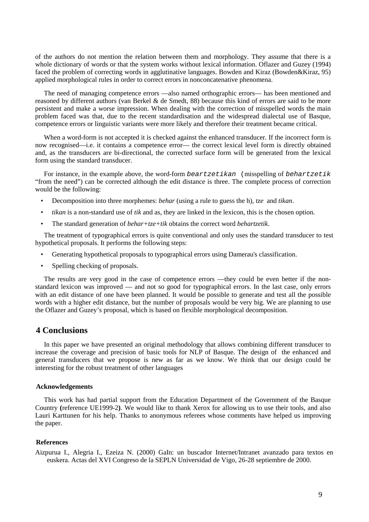of the authors do not mention the relation between them and morphology. They assume that there is a whole dictionary of words or that the system works without lexical information. Oflazer and Guzey (1994) faced the problem of correcting words in agglutinative languages. Bowden and Kiraz (Bowden&Kiraz, 95) applied morphological rules in order to correct errors in nonconcatenative phenomena.

The need of managing competence errors —also named orthographic errors— has been mentioned and reasoned by different authors (van Berkel & de Smedt, 88) because this kind of errors are said to be more persistent and make a worse impression. When dealing with the correction of misspelled words the main problem faced was that, due to the recent standardisation and the widespread dialectal use of Basque, competence errors or linguistic variants were more likely and therefore their treatment became critical.

When a word-form is not accepted it is checked against the enhanced transducer. If the incorrect form is now recognised—i.e. it contains a competence error— the correct lexical level form is directly obtained and, as the transducers are bi-directional, the corrected surface form will be generated from the lexical form using the standard transducer.

For instance, in the example above, the word-form beartzetikan (misspelling of behartzetik "from the need") can be corrected although the edit distance is three. The complete process of correction would be the following:

- Decomposition into three morphemes: *behar* (using a rule to guess the h), *tze* and *tikan*.
- *tikan* is a non-standard use of *tik* and as, they are linked in the lexicon, this is the chosen option.
- The standard generation of *behar+tze+tik* obtains the correct word *behartzetik*.

The treatment of typographical errors is quite conventional and only uses the standard transducer to test hypothetical proposals. It performs the following steps:

- Generating hypothetical proposals to typographical errors using Damerau's classification.
- Spelling checking of proposals.

The results are very good in the case of competence errors —they could be even better if the nonstandard lexicon was improved — and not so good for typographical errors. In the last case, only errors with an edit distance of one have been planned. It would be possible to generate and test all the possible words with a higher edit distance, but the number of proposals would be very big. We are planning to use the Oflazer and Guzey's proposal, which is based on flexible morphological decomposition.

# **4 Conclusions**

In this paper we have presented an original methodology that allows combining different transducer to increase the coverage and precision of basic tools for NLP of Basque. The design of the enhanced and general transducers that we propose is new as far as we know. We think that our design could be interesting for the robust treatment of other languages

#### **Acknowledgements**

This work has had partial support from the Education Department of the Government of the Basque Country **(**reference UE1999-2**)**. We would like to thank Xerox for allowing us to use their tools, and also Lauri Karttunen for his help. Thanks to anonymous referees whose comments have helped us improving the paper.

### **References**

Aizpurua I., Alegria I., Ezeiza N. (2000) GaIn: un buscador Internet/Intranet avanzado para textos en euskera. Actas del XVI Congreso de la SEPLN Universidad de Vigo, 26-28 septiembre de 2000.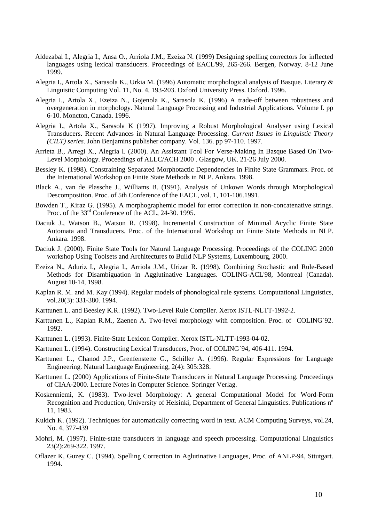- Aldezabal I., Alegria I., Ansa O., Arriola J.M., Ezeiza N. (1999) Designing spelling correctors for inflected languages using lexical transducers. Proceedings of EACL'99, 265-266. Bergen, Norway. 8-12 June 1999.
- Alegria I., Artola X., Sarasola K., Urkia M. (1996) Automatic morphological analysis of Basque. Literary & Linguistic Computing Vol. 11, No. 4, 193-203. Oxford University Press. Oxford. 1996.
- Alegria I., Artola X., Ezeiza N., Gojenola K., Sarasola K. (1996) A trade-off between robustness and overgeneration in morphology. Natural Language Processing and Industrial Applications. Volume I. pp 6-10. Moncton, Canada. 1996.
- Alegria I., Artola X., Sarasola K (1997). Improving a Robust Morphological Analyser using Lexical Transducers. Recent Advances in Natural Language Processing. *Current Issues in Linguistic Theory (CILT) series*. John Benjamins publisher company. Vol. 136. pp 97-110. 1997.
- Arrieta B., Arregi X., Alegria I. (2000). An Assistant Tool For Verse-Making In Basque Based On Two-Level Morphology. Proceedings of ALLC/ACH 2000 . Glasgow, UK. 21-26 July 2000.
- Bessley K. (1998). Constraining Separated Morphotactic Dependencies in Finite State Grammars. Proc. of the International Workshop on Finite State Methods in NLP. Ankara. 1998.
- Black A., van de Plassche J., Williams B. (1991). Analysis of Unkown Words through Morphological Descomposition. Proc. of 5th Conference of the EACL, vol. 1, 101-106.1991.
- Bowden T., Kiraz G. (1995). A morphographemic model for error correction in non-concatenative strings. Proc. of the 33<sup>rd</sup> Conference of the ACL, 24-30. 1995.
- Daciuk J., Watson B., Watson R. (1998). Incremental Construction of Minimal Acyclic Finite State Automata and Transducers. Proc. of the International Workshop on Finite State Methods in NLP. Ankara. 1998.
- Daciuk J. (2000). Finite State Tools for Natural Language Processing. Proceedings of the COLING 2000 workshop Using Toolsets and Architectures to Build NLP Systems, Luxembourg, 2000.
- Ezeiza N., Aduriz I., Alegria I., Arriola J.M., Urizar R. (1998). Combining Stochastic and Rule-Based Methods for Disambiguation in Agglutinative Languages. COLING-ACL'98, Montreal (Canada). August 10-14, 1998.
- Kaplan R. M. and M. Kay (1994). Regular models of phonological rule systems. Computational Linguistics, vol.20(3): 331-380. 1994.
- Karttunen L. and Beesley K.R. (1992). Two-Level Rule Compiler. Xerox ISTL-NLTT-1992-2.
- Karttunen L., Kaplan R.M., Zaenen A. Two-level morphology with composition. Proc. of COLING´92. 1992.
- Karttunen L. (1993). Finite-State Lexicon Compiler. Xerox ISTL-NLTT-1993-04-02.
- Karttunen L. (1994). Constructing Lexical Transducers, Proc. of COLING´94, 406-411. 1994.
- Karttunen L., Chanod J.P., Grenfenstette G., Schiller A. (1996). Regular Expressions for Language Engineering. Natural Language Engineering, 2(4): 305:328.
- Karttunen L. (2000) Applications of Finite-State Transducers in Natural Language Processing. Proceedings of CIAA-2000. Lecture Notes in Computer Science. Springer Verlag.
- Koskenniemi, K. (1983). Two-level Morphology: A general Computational Model for Word-Form Recognition and Production, University of Helsinki, Department of General Linguistics. Publications nº 11, 1983.
- Kukich K. (1992). Techniques for automatically correcting word in text. ACM Computing Surveys, vol.24, No. 4, 377-439
- Mohri, M. (1997). Finite-state transducers in language and speech processing. Computational Linguistics 23(2):269-322. 1997.
- Oflazer K, Guzey C. (1994). Spelling Correction in Aglutinative Languages, Proc. of ANLP-94, Sttutgart. 1994.